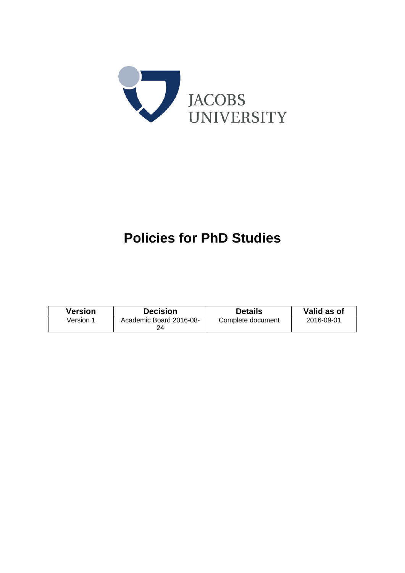

# **Policies for PhD Studies**

| Version   | <b>Decision</b>         | <b>Details</b>    | Valid as of |
|-----------|-------------------------|-------------------|-------------|
| Version 1 | Academic Board 2016-08- | Complete document | 2016-09-01  |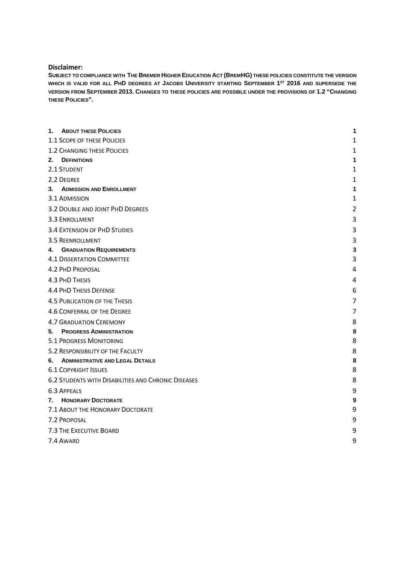#### **Disclaimer:**

**SUBJECT TO COMPLIANCE WITH THE BREMER HIGHER EDUCATION ACT (BREMHG) THESE POLICIES CONSTITUTE THE VERSION**  WHICH IS VALID FOR ALL PHD DEGREES AT JACOBS UNIVERSITY STARTING SEPTEMBER 1<sup>ST</sup> 2016 AND SUPERSEDE THE **VERSION FROM SEPTEMBER 2013. CHANGES TO THESE POLICIES ARE POSSIBLE UNDER THE PROVISIONS OF 1.2 "CHANGING THESE POLICIES".** 

|    | 1. ABOUT THESE POLICIES                                    | 1 |
|----|------------------------------------------------------------|---|
|    | 1.1 SCOPE OF THESE POLICIES                                | 1 |
|    | 1.2 CHANGING THESE POLICIES                                | 1 |
|    | 2. DEFINITIONS                                             | 1 |
|    | 2.1 STUDENT                                                | 1 |
|    | 2.2 DEGREE                                                 | 1 |
|    | 3. ADMISSION AND ENROLLMENT                                | 1 |
|    | 3.1 ADMISSION                                              | 1 |
|    | 3.2 DOUBLE AND JOINT PHD DEGREES                           | 2 |
|    | 3.3 ENROLLMENT                                             | 3 |
|    | <b>3.4 EXTENSION OF PHD STUDIES</b>                        | 3 |
|    | 3.5 REENROLLMENT                                           | 3 |
|    | 4. GRADUATION REQUIREMENTS                                 | 3 |
|    | <b>4.1 DISSERTATION COMMITTEE</b>                          | 3 |
|    | 4.2 PHD PROPOSAL                                           | 4 |
|    | 4.3 PHD THESIS                                             | 4 |
|    | <b>4.4 PHD THESIS DEFENSE</b>                              | 6 |
|    | <b>4.5 PUBLICATION OF THE THESIS</b>                       | 7 |
|    | 4.6 CONFERRAL OF THE DEGREE                                | 7 |
|    | <b>4.7 GRADUATION CEREMONY</b>                             | 8 |
| 5. | <b>PROGRESS ADMINISTRATION</b>                             | 8 |
|    | 5.1 PROGRESS MONITORING                                    | 8 |
|    | 5.2 RESPONSIBILITY OF THE FACULTY                          | 8 |
|    | 6. ADMINISTRATIVE AND LEGAL DETAILS                        | 8 |
|    | <b>6.1 COPYRIGHT ISSUES</b>                                | 8 |
|    | <b>6.2 STUDENTS WITH DISABILITIES AND CHRONIC DISEASES</b> | 8 |
|    | 6.3 APPEALS                                                | 9 |
|    | 7. HONORARY DOCTORATE                                      | 9 |
|    | 7.1 ABOUT THE HONORARY DOCTORATE                           | 9 |
|    | 7.2 Proposal                                               | 9 |
|    | 7.3 THE EXECUTIVE BOARD                                    | 9 |
|    | 7.4 AWARD                                                  | 9 |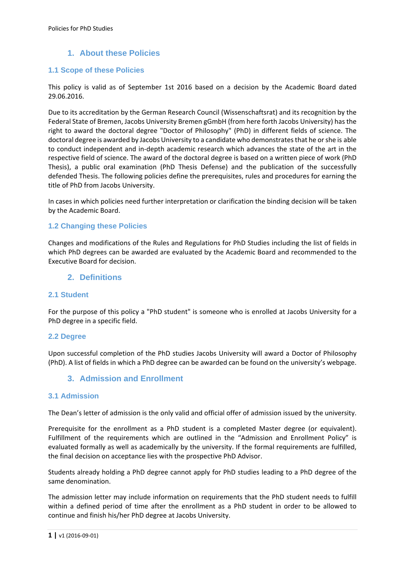# **1. About these Policies**

# **1.1 Scope of these Policies**

This policy is valid as of September 1st 2016 based on a decision by the Academic Board dated 29.06.2016.

Due to its accreditation by the German Research Council (Wissenschaftsrat) and its recognition by the Federal State of Bremen, Jacobs University Bremen gGmbH (from here forth Jacobs University) has the right to award the doctoral degree "Doctor of Philosophy" (PhD) in different fields of science. The doctoral degree is awarded by Jacobs University to a candidate who demonstratesthat he orshe is able to conduct independent and in‐depth academic research which advances the state of the art in the respective field of science. The award of the doctoral degree is based on a written piece of work (PhD Thesis), a public oral examination (PhD Thesis Defense) and the publication of the successfully defended Thesis. The following policies define the prerequisites, rules and procedures for earning the title of PhD from Jacobs University.

In cases in which policies need further interpretation or clarification the binding decision will be taken by the Academic Board.

## **1.2 Changing these Policies**

Changes and modifications of the Rules and Regulations for PhD Studies including the list of fields in which PhD degrees can be awarded are evaluated by the Academic Board and recommended to the Executive Board for decision.

## **2. Definitions**

## **2.1 Student**

For the purpose of this policy a "PhD student" is someone who is enrolled at Jacobs University for a PhD degree in a specific field.

## **2.2 Degree**

Upon successful completion of the PhD studies Jacobs University will award a Doctor of Philosophy (PhD). A list of fields in which a PhD degree can be awarded can be found on the university's webpage.

# **3. Admission and Enrollment**

## **3.1 Admission**

The Dean's letter of admission is the only valid and official offer of admission issued by the university.

Prerequisite for the enrollment as a PhD student is a completed Master degree (or equivalent). Fulfillment of the requirements which are outlined in the "Admission and Enrollment Policy" is evaluated formally as well as academically by the university. If the formal requirements are fulfilled, the final decision on acceptance lies with the prospective PhD Advisor.

Students already holding a PhD degree cannot apply for PhD studies leading to a PhD degree of the same denomination.

The admission letter may include information on requirements that the PhD student needs to fulfill within a defined period of time after the enrollment as a PhD student in order to be allowed to continue and finish his/her PhD degree at Jacobs University.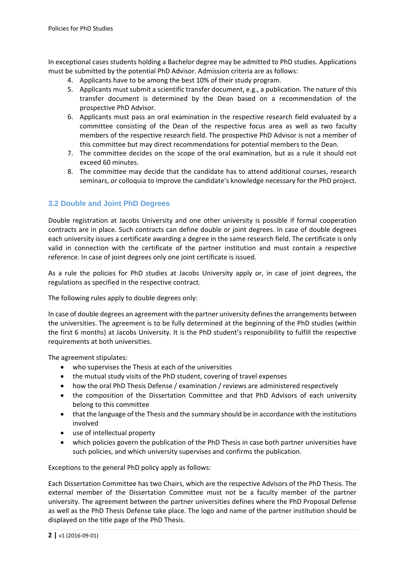In exceptional cases students holding a Bachelor degree may be admitted to PhD studies. Applications must be submitted by the potential PhD Advisor. Admission criteria are as follows:

- 4. Applicants have to be among the best 10% of their study program.
- 5. Applicants must submit a scientific transfer document, e.g., a publication. The nature of this transfer document is determined by the Dean based on a recommendation of the prospective PhD Advisor.
- 6. Applicants must pass an oral examination in the respective research field evaluated by a committee consisting of the Dean of the respective focus area as well as two faculty members of the respective research field. The prospective PhD Advisor is not a member of this committee but may direct recommendations for potential members to the Dean.
- 7. The committee decides on the scope of the oral examination, but as a rule it should not exceed 60 minutes.
- 8. The committee may decide that the candidate has to attend additional courses, research seminars, or colloquia to improve the candidate's knowledge necessary for the PhD project.

# **3.2 Double and Joint PhD Degrees**

Double registration at Jacobs University and one other university is possible if formal cooperation contracts are in place. Such contracts can define double or joint degrees. In case of double degrees each university issues a certificate awarding a degree in the same research field. The certificate is only valid in connection with the certificate of the partner institution and must contain a respective reference. In case of joint degrees only one joint certificate is issued.

As a rule the policies for PhD studies at Jacobs University apply or, in case of joint degrees, the regulations as specified in the respective contract.

The following rules apply to double degrees only:

In case of double degrees an agreement with the partner university defines the arrangements between the universities. The agreement is to be fully determined at the beginning of the PhD studies (within the first 6 months) at Jacobs University. It is the PhD student's responsibility to fulfill the respective requirements at both universities.

The agreement stipulates:

- who supervises the Thesis at each of the universities
- the mutual study visits of the PhD student, covering of travel expenses
- how the oral PhD Thesis Defense / examination / reviews are administered respectively
- the composition of the Dissertation Committee and that PhD Advisors of each university belong to this committee
- that the language of the Thesis and the summary should be in accordance with the institutions involved
- use of intellectual property
- which policies govern the publication of the PhD Thesis in case both partner universities have such policies, and which university supervises and confirms the publication.

Exceptions to the general PhD policy apply as follows:

Each Dissertation Committee has two Chairs, which are the respective Advisors of the PhD Thesis. The external member of the Dissertation Committee must not be a faculty member of the partner university. The agreement between the partner universities defines where the PhD Proposal Defense as well as the PhD Thesis Defense take place. The logo and name of the partner institution should be displayed on the title page of the PhD Thesis.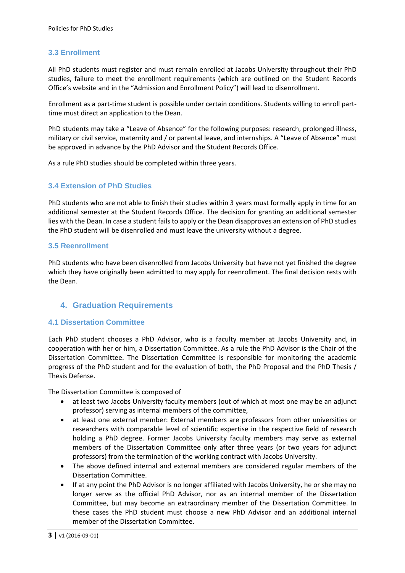# **3.3 Enrollment**

All PhD students must register and must remain enrolled at Jacobs University throughout their PhD studies, failure to meet the enrollment requirements (which are outlined on the Student Records Office's website and in the "Admission and Enrollment Policy") will lead to disenrollment.

Enrollment as a part‐time student is possible under certain conditions. Students willing to enroll part‐ time must direct an application to the Dean.

PhD students may take a "Leave of Absence" for the following purposes: research, prolonged illness, military or civil service, maternity and / or parental leave, and internships. A "Leave of Absence" must be approved in advance by the PhD Advisor and the Student Records Office.

As a rule PhD studies should be completed within three years.

# **3.4 Extension of PhD Studies**

PhD students who are not able to finish their studies within 3 years must formally apply in time for an additional semester at the Student Records Office. The decision for granting an additional semester lies with the Dean. In case a student fails to apply or the Dean disapproves an extension of PhD studies the PhD student will be disenrolled and must leave the university without a degree.

# **3.5 Reenrollment**

PhD students who have been disenrolled from Jacobs University but have not yet finished the degree which they have originally been admitted to may apply for reenrollment. The final decision rests with the Dean.

# **4. Graduation Requirements**

# **4.1 Dissertation Committee**

Each PhD student chooses a PhD Advisor, who is a faculty member at Jacobs University and, in cooperation with her or him, a Dissertation Committee. As a rule the PhD Advisor is the Chair of the Dissertation Committee. The Dissertation Committee is responsible for monitoring the academic progress of the PhD student and for the evaluation of both, the PhD Proposal and the PhD Thesis / Thesis Defense.

The Dissertation Committee is composed of

- at least two Jacobs University faculty members (out of which at most one may be an adjunct professor) serving as internal members of the committee,
- at least one external member: External members are professors from other universities or researchers with comparable level of scientific expertise in the respective field of research holding a PhD degree. Former Jacobs University faculty members may serve as external members of the Dissertation Committee only after three years (or two years for adjunct professors) from the termination of the working contract with Jacobs University.
- The above defined internal and external members are considered regular members of the Dissertation Committee.
- If at any point the PhD Advisor is no longer affiliated with Jacobs University, he or she may no longer serve as the official PhD Advisor, nor as an internal member of the Dissertation Committee, but may become an extraordinary member of the Dissertation Committee. In these cases the PhD student must choose a new PhD Advisor and an additional internal member of the Dissertation Committee.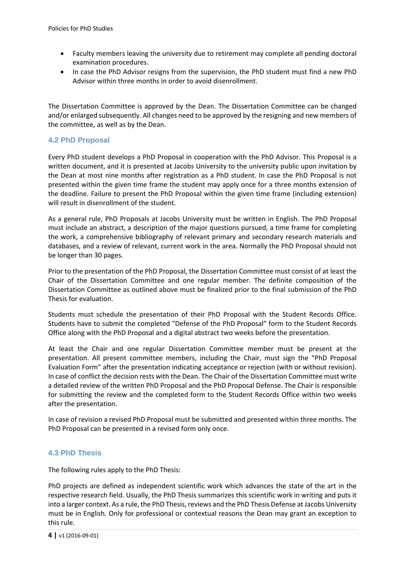- Faculty members leaving the university due to retirement may complete all pending doctoral examination procedures.
- In case the PhD Advisor resigns from the supervision, the PhD student must find a new PhD Advisor within three months in order to avoid disenrollment.

The Dissertation Committee is approved by the Dean. The Dissertation Committee can be changed and/or enlarged subsequently. All changes need to be approved by the resigning and new members of the committee, as well as by the Dean.

# **4.2 PhD Proposal**

Every PhD student develops a PhD Proposal in cooperation with the PhD Advisor. This Proposal is a written document, and it is presented at Jacobs University to the university public upon invitation by the Dean at most nine months after registration as a PhD student. In case the PhD Proposal is not presented within the given time frame the student may apply once for a three months extension of the deadline. Failure to present the PhD Proposal within the given time frame (including extension) will result in disenrollment of the student.

As a general rule, PhD Proposals at Jacobs University must be written in English. The PhD Proposal must include an abstract, a description of the major questions pursued, a time frame for completing the work, a comprehensive bibliography of relevant primary and secondary research materials and databases, and a review of relevant, current work in the area. Normally the PhD Proposal should not be longer than 30 pages.

Prior to the presentation of the PhD Proposal, the Dissertation Committee must consist of at least the Chair of the Dissertation Committee and one regular member. The definite composition of the Dissertation Committee as outlined above must be finalized prior to the final submission of the PhD Thesis for evaluation.

Students must schedule the presentation of their PhD Proposal with the Student Records Office. Students have to submit the completed "Defense of the PhD Proposal" form to the Student Records Office along with the PhD Proposal and a digital abstract two weeks before the presentation.

At least the Chair and one regular Dissertation Committee member must be present at the presentation. All present committee members, including the Chair, must sign the "PhD Proposal Evaluation Form" after the presentation indicating acceptance or rejection (with or without revision). In case of conflict the decision rests with the Dean. The Chair of the Dissertation Committee must write a detailed review of the written PhD Proposal and the PhD Proposal Defense. The Chair is responsible for submitting the review and the completed form to the Student Records Office within two weeks after the presentation.

In case of revision a revised PhD Proposal must be submitted and presented within three months. The PhD Proposal can be presented in a revised form only once.

# **4.3 PhD Thesis**

The following rules apply to the PhD Thesis:

PhD projects are defined as independent scientific work which advances the state of the art in the respective research field. Usually, the PhD Thesis summarizes this scientific work in writing and puts it into a larger context. As a rule, the PhD Thesis, reviews and the PhD Thesis Defense at Jacobs University must be in English. Only for professional or contextual reasons the Dean may grant an exception to this rule.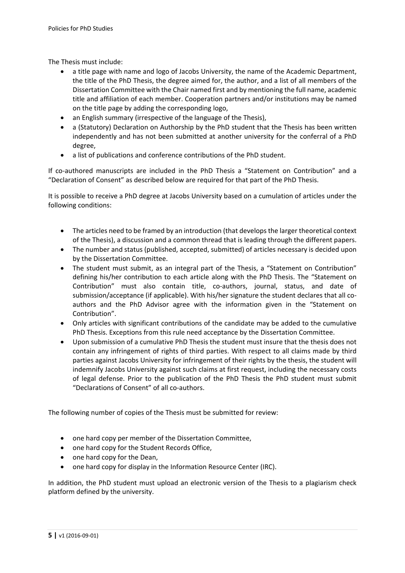The Thesis must include:

- a title page with name and logo of Jacobs University, the name of the Academic Department, the title of the PhD Thesis, the degree aimed for, the author, and a list of all members of the Dissertation Committee with the Chair named first and by mentioning the full name, academic title and affiliation of each member. Cooperation partners and/or institutions may be named on the title page by adding the corresponding logo,
- an English summary (irrespective of the language of the Thesis),
- a (Statutory) Declaration on Authorship by the PhD student that the Thesis has been written independently and has not been submitted at another university for the conferral of a PhD degree,
- a list of publications and conference contributions of the PhD student.

If co-authored manuscripts are included in the PhD Thesis a "Statement on Contribution" and a "Declaration of Consent" as described below are required for that part of the PhD Thesis.

It is possible to receive a PhD degree at Jacobs University based on a cumulation of articles under the following conditions:

- The articles need to be framed by an introduction (that develops the larger theoretical context of the Thesis), a discussion and a common thread that is leading through the different papers.
- The number and status (published, accepted, submitted) of articles necessary is decided upon by the Dissertation Committee.
- The student must submit, as an integral part of the Thesis, a "Statement on Contribution" defining his/her contribution to each article along with the PhD Thesis. The "Statement on Contribution" must also contain title, co-authors, journal, status, and date of submission/acceptance (if applicable). With his/her signature the student declares that all co‐ authors and the PhD Advisor agree with the information given in the "Statement on Contribution".
- Only articles with significant contributions of the candidate may be added to the cumulative PhD Thesis. Exceptions from this rule need acceptance by the Dissertation Committee.
- Upon submission of a cumulative PhD Thesis the student must insure that the thesis does not contain any infringement of rights of third parties. With respect to all claims made by third parties against Jacobs University for infringement of their rights by the thesis, the student will indemnify Jacobs University against such claims at first request, including the necessary costs of legal defense. Prior to the publication of the PhD Thesis the PhD student must submit "Declarations of Consent" of all co‐authors.

The following number of copies of the Thesis must be submitted for review:

- one hard copy per member of the Dissertation Committee,
- one hard copy for the Student Records Office,
- one hard copy for the Dean,
- one hard copy for display in the Information Resource Center (IRC).

In addition, the PhD student must upload an electronic version of the Thesis to a plagiarism check platform defined by the university.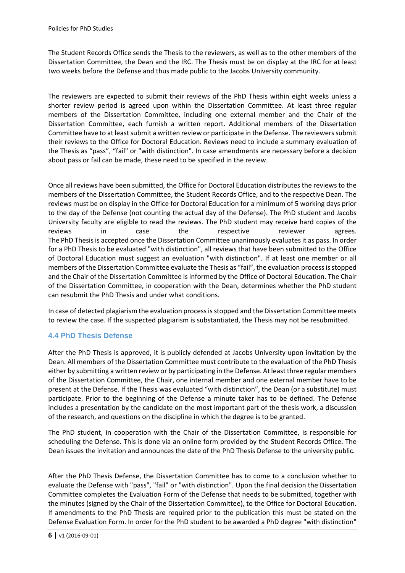The Student Records Office sends the Thesis to the reviewers, as well as to the other members of the Dissertation Committee, the Dean and the IRC. The Thesis must be on display at the IRC for at least two weeks before the Defense and thus made public to the Jacobs University community.

The reviewers are expected to submit their reviews of the PhD Thesis within eight weeks unless a shorter review period is agreed upon within the Dissertation Committee. At least three regular members of the Dissertation Committee, including one external member and the Chair of the Dissertation Committee, each furnish a written report. Additional members of the Dissertation Committee have to at least submit a written review or participate in the Defense. The reviewers submit their reviews to the Office for Doctoral Education. Reviews need to include a summary evaluation of the Thesis as "pass", "fail" or "with distinction". In case amendments are necessary before a decision about pass or fail can be made, these need to be specified in the review.

Once all reviews have been submitted, the Office for Doctoral Education distributes the reviews to the members of the Dissertation Committee, the Student Records Office, and to the respective Dean. The reviews must be on display in the Office for Doctoral Education for a minimum of 5 working days prior to the day of the Defense (not counting the actual day of the Defense). The PhD student and Jacobs University faculty are eligible to read the reviews. The PhD student may receive hard copies of the reviews in case the respective reviewer agrees. The PhD Thesisis accepted once the Dissertation Committee unanimously evaluatesit as pass. In order for a PhD Thesis to be evaluated "with distinction", all reviews that have been submitted to the Office of Doctoral Education must suggest an evaluation "with distinction". If at least one member or all members of the Dissertation Committee evaluate the Thesis as "fail", the evaluation processisstopped and the Chair of the Dissertation Committee is informed by the Office of Doctoral Education. The Chair of the Dissertation Committee, in cooperation with the Dean, determines whether the PhD student can resubmit the PhD Thesis and under what conditions.

In case of detected plagiarism the evaluation processisstopped and the Dissertation Committee meets to review the case. If the suspected plagiarism is substantiated, the Thesis may not be resubmitted.

# **4.4 PhD Thesis Defense**

After the PhD Thesis is approved, it is publicly defended at Jacobs University upon invitation by the Dean. All members of the Dissertation Committee must contribute to the evaluation of the PhD Thesis either by submitting a written review or by participating in the Defense. At least three regular members of the Dissertation Committee, the Chair, one internal member and one external member have to be present at the Defense. If the Thesis was evaluated "with distinction", the Dean (or a substitute) must participate. Prior to the beginning of the Defense a minute taker has to be defined. The Defense includes a presentation by the candidate on the most important part of the thesis work, a discussion of the research, and questions on the discipline in which the degree is to be granted.

The PhD student, in cooperation with the Chair of the Dissertation Committee, is responsible for scheduling the Defense. This is done via an online form provided by the Student Records Office. The Dean issues the invitation and announces the date of the PhD Thesis Defense to the university public.

After the PhD Thesis Defense, the Dissertation Committee has to come to a conclusion whether to evaluate the Defense with "pass", "fail" or "with distinction". Upon the final decision the Dissertation Committee completes the Evaluation Form of the Defense that needs to be submitted, together with the minutes (signed by the Chair of the Dissertation Committee), to the Office for Doctoral Education. If amendments to the PhD Thesis are required prior to the publication this must be stated on the Defense Evaluation Form. In order for the PhD student to be awarded a PhD degree "with distinction"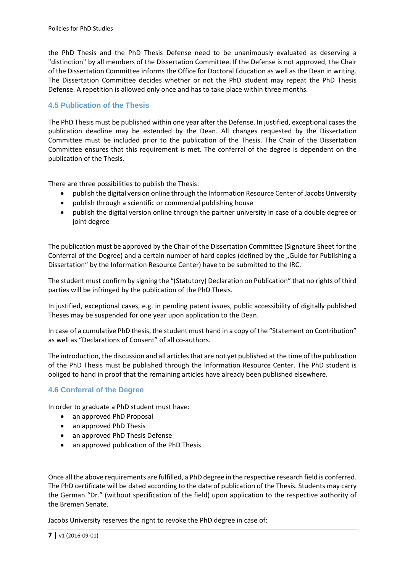the PhD Thesis and the PhD Thesis Defense need to be unanimously evaluated as deserving a "distinction" by all members of the Dissertation Committee. If the Defense is not approved, the Chair of the Dissertation Committee informs the Office for Doctoral Education as well as the Dean in writing. The Dissertation Committee decides whether or not the PhD student may repeat the PhD Thesis Defense. A repetition is allowed only once and has to take place within three months.

# **4.5 Publication of the Thesis**

The PhD Thesis must be published within one year after the Defense. In justified, exceptional cases the publication deadline may be extended by the Dean. All changes requested by the Dissertation Committee must be included prior to the publication of the Thesis. The Chair of the Dissertation Committee ensures that this requirement is met. The conferral of the degree is dependent on the publication of the Thesis.

There are three possibilities to publish the Thesis:

- publish the digital version online through the Information Resource Center of Jacobs University
- publish through a scientific or commercial publishing house
- publish the digital version online through the partner university in case of a double degree or joint degree

The publication must be approved by the Chair of the Dissertation Committee (Signature Sheet for the Conferral of the Degree) and a certain number of hard copies (defined by the "Guide for Publishing a Dissertation" by the Information Resource Center) have to be submitted to the IRC.

The student must confirm by signing the "(Statutory) Declaration on Publication" that no rights of third parties will be infringed by the publication of the PhD Thesis.

In justified, exceptional cases, e.g. in pending patent issues, public accessibility of digitally published Theses may be suspended for one year upon application to the Dean.

In case of a cumulative PhD thesis, the student must hand in a copy of the "Statement on Contribution" as well as "Declarations of Consent" of all co-authors.

The introduction, the discussion and all articles that are not yet published at the time of the publication of the PhD Thesis must be published through the Information Resource Center. The PhD student is obliged to hand in proof that the remaining articles have already been published elsewhere.

# **4.6 Conferral of the Degree**

In order to graduate a PhD student must have:

- an approved PhD Proposal
- an approved PhD Thesis
- an approved PhD Thesis Defense
- an approved publication of the PhD Thesis

Once all the above requirements are fulfilled, a PhD degree in the respective research field is conferred. The PhD certificate will be dated according to the date of publication of the Thesis. Students may carry the German "Dr." (without specification of the field) upon application to the respective authority of the Bremen Senate.

Jacobs University reserves the right to revoke the PhD degree in case of: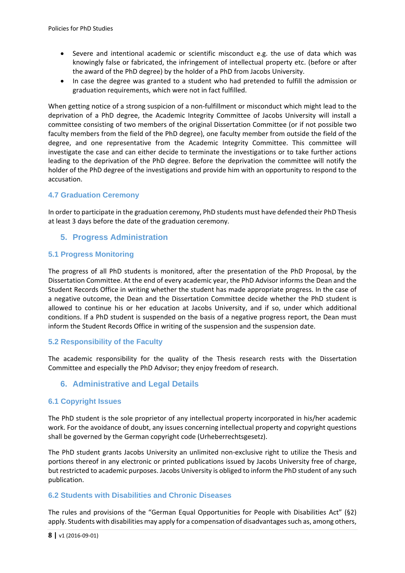- Severe and intentional academic or scientific misconduct e.g. the use of data which was knowingly false or fabricated, the infringement of intellectual property etc. (before or after the award of the PhD degree) by the holder of a PhD from Jacobs University.
- In case the degree was granted to a student who had pretended to fulfill the admission or graduation requirements, which were not in fact fulfilled.

When getting notice of a strong suspicion of a non-fulfillment or misconduct which might lead to the deprivation of a PhD degree, the Academic Integrity Committee of Jacobs University will install a committee consisting of two members of the original Dissertation Committee (or if not possible two faculty members from the field of the PhD degree), one faculty member from outside the field of the degree, and one representative from the Academic Integrity Committee. This committee will investigate the case and can either decide to terminate the investigations or to take further actions leading to the deprivation of the PhD degree. Before the deprivation the committee will notify the holder of the PhD degree of the investigations and provide him with an opportunity to respond to the accusation.

# **4.7 Graduation Ceremony**

In order to participate in the graduation ceremony, PhD students must have defended their PhD Thesis at least 3 days before the date of the graduation ceremony.

**5. Progress Administration** 

# **5.1 Progress Monitoring**

The progress of all PhD students is monitored, after the presentation of the PhD Proposal, by the Dissertation Committee. At the end of every academic year, the PhD Advisor informs the Dean and the Student Records Office in writing whether the student has made appropriate progress. In the case of a negative outcome, the Dean and the Dissertation Committee decide whether the PhD student is allowed to continue his or her education at Jacobs University, and if so, under which additional conditions. If a PhD student is suspended on the basis of a negative progress report, the Dean must inform the Student Records Office in writing of the suspension and the suspension date.

# **5.2 Responsibility of the Faculty**

The academic responsibility for the quality of the Thesis research rests with the Dissertation Committee and especially the PhD Advisor; they enjoy freedom of research.

# **6. Administrative and Legal Details**

# **6.1 Copyright Issues**

The PhD student is the sole proprietor of any intellectual property incorporated in his/her academic work. For the avoidance of doubt, any issues concerning intellectual property and copyright questions shall be governed by the German copyright code (Urheberrechtsgesetz).

The PhD student grants Jacobs University an unlimited non‐exclusive right to utilize the Thesis and portions thereof in any electronic or printed publications issued by Jacobs University free of charge, but restricted to academic purposes. Jacobs University is obliged to inform the PhD student of any such publication.

# **6.2 Students with Disabilities and Chronic Diseases**

The rules and provisions of the "German Equal Opportunities for People with Disabilities Act" (§2) apply. Students with disabilities may apply for a compensation of disadvantages such as, among others,